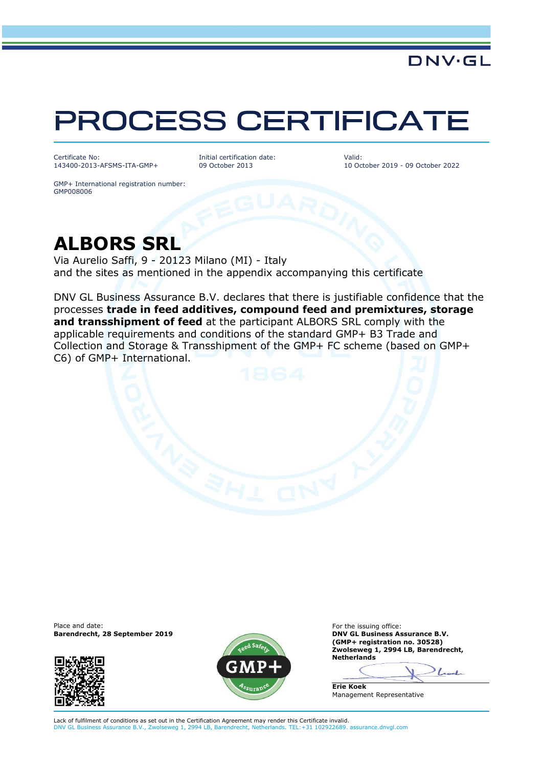## PROCESS CERTIFICATE

Certificate No: 143400-2013-AFSMS-ITA-GMP+ Initial certification date: 09 October 2013

Valid: 10 October 2019 - 09 October 2022

DNV·GL

GMP+ International registration number: GMP008006

## **ALBORS SRL**

Via Aurelio Saffi, 9 - 20123 Milano (MI) - Italy and the sites as mentioned in the appendix accompanying this certificate

DNV GL Business Assurance B.V. declares that there is justifiable confidence that the processes **trade in feed additives, compound feed and premixtures, storage and transshipment of feed** at the participant ALBORS SRL comply with the applicable requirements and conditions of the standard GMP+ B3 Trade and Collection and Storage & Transshipment of the GMP+ FC scheme (based on GMP+ C6) of GMP+ International.

**Barendrecht, 28 September 2019** 





Place and date:<br> **Barendrecht, 28 September 2019 Exercía Exercípio Exercípio Exercípio Exercípio Exercípio Exercípio Exercípio Exercípio Exercípio Exercípio Exercípio Exercípio Exercípio Exercípio Exercípio Exercípio Exe (GMP+ registration no. 30528) Zwolseweg 1, 2994 LB, Barendrecht, Netherlands**

Look **Erie Koek**

Lack of fulfilment of conditions as set out in the Certification Agreement may render this Certificate invalid. DNV GL Business Assurance B.V., Zwolseweg 1, 2994 LB, Barendrecht, Netherlands. TEL:+31 102922689. assurance.dnvgl.com

Management Representative